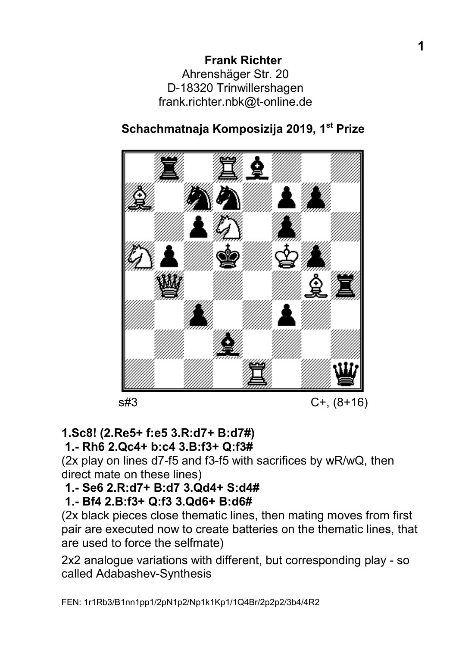# Schachmatnaja Komposizija 2019, 1<sup>st</sup> Prize



# 1.Sc8! (2.Re5+ f:e5 3.R:d7+ B:d7#)

### 1.- Rh6 2.Qc4+ b:c4 3.B:f3+ Q:f3#

(2x play on lines d7-f5 and f3-f5 with sacrifices by wR/wQ, then direct mate on these lines)

# 1.- Se6 2.R:d7+ B:d7 3.Qd4+ S:d4#

### 1.- Bf4 2.B:f3+ Q:f3 3.Qd6+ B:d6#

(2x black pieces close thematic lines, then mating moves from first pair are executed now to create batteries on the thematic lines, that are used to force the selfmate)

2x2 analogue variations with different, but corresponding play - so called Adabashev-Synthesis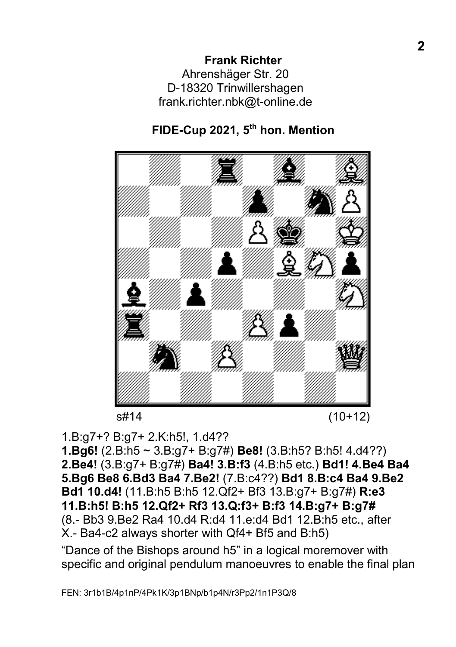# FIDE-Cup 2021, 5<sup>th</sup> hon. Mention



s#14 (10+12)

1.B:g7+? B:g7+ 2.K:h5!, 1.d4??

1.Bg6! (2.B:h5 ~ 3.B:g7+ B:g7#) Be8! (3.B:h5? B:h5! 4.d4??) 2.Be4! (3.B:g7+ B:g7#) Ba4! 3.B:f3 (4.B:h5 etc.) Bd1! 4.Be4 Ba4 5.Bg6 Be8 6.Bd3 Ba4 7.Be2! (7.B:c4??) Bd1 8.B:c4 Ba4 9.Be2 Bd1 10.d4! (11.B:h5 B:h5 12.Qf2+ Bf3 13.B:g7+ B:g7#) R:e3 11.B:h5! B:h5 12.Qf2+ Rf3 13.Q:f3+ B:f3 14.B:g7+ B:g7# (8.- Bb3 9.Be2 Ra4 10.d4 R:d4 11.e:d4 Bd1 12.B:h5 etc., after X.- Ba4-c2 always shorter with Qf4+ Bf5 and B:h5)

"Dance of the Bishops around h5" in a logical moremover with specific and original pendulum manoeuvres to enable the final plan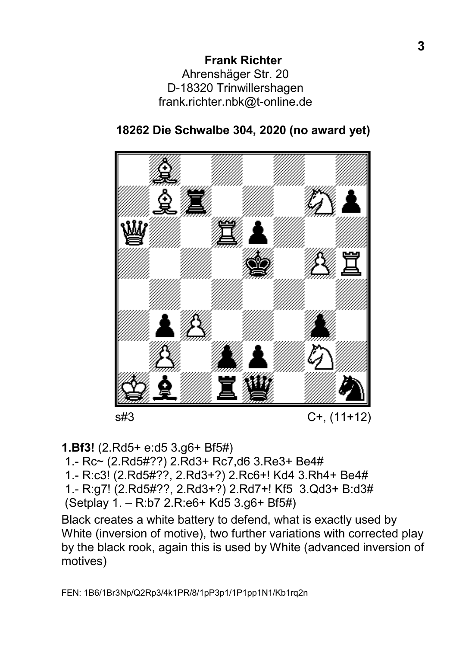

## 18262 Die Schwalbe 304, 2020 (no award yet)

1.Bf3! (2.Rd5+ e:d5 3.g6+ Bf5#)

1.- Rc~ (2.Rd5#??) 2.Rd3+ Rc7,d6 3.Re3+ Be4#

1.- R:c3! (2.Rd5#??, 2.Rd3+?) 2.Rc6+! Kd4 3.Rh4+ Be4#

1.- R:g7! (2.Rd5#??, 2.Rd3+?) 2.Rd7+! Kf5 3.Qd3+ B:d3#

(Setplay 1. – R:b7 2.R:e6+ Kd5 3.g6+ Bf5#)

Black creates a white battery to defend, what is exactly used by White (inversion of motive), two further variations with corrected play by the black rook, again this is used by White (advanced inversion of motives)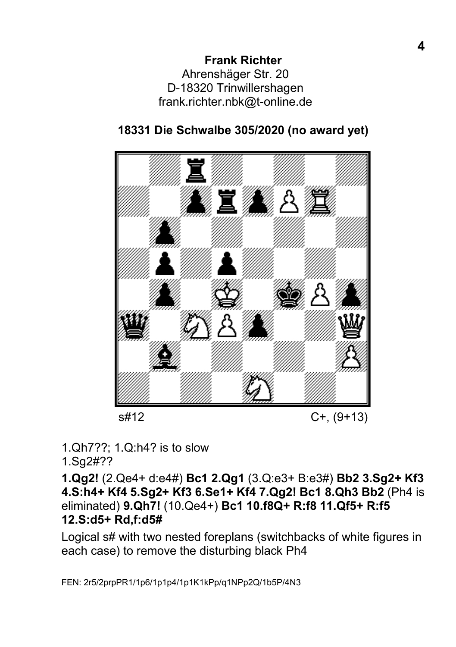

## 18331 Die Schwalbe 305/2020 (no award yet)

1.Qh7??; 1.Q:h4? is to slow

1.Sg2#??

1.Qg2! (2.Qe4+ d:e4#) Bc1 2.Qg1 (3.Q:e3+ B:e3#) Bb2 3.Sg2+ Kf3 4.S:h4+ Kf4 5.Sg2+ Kf3 6.Se1+ Kf4 7.Qg2! Bc1 8.Qh3 Bb2 (Ph4 is eliminated) 9.Qh7! (10.Qe4+) Bc1 10.f8Q+ R:f8 11.Qf5+ R:f5 12.S:d5+ Rd,f:d5#

Logical s# with two nested foreplans (switchbacks of white figures in each case) to remove the disturbing black Ph4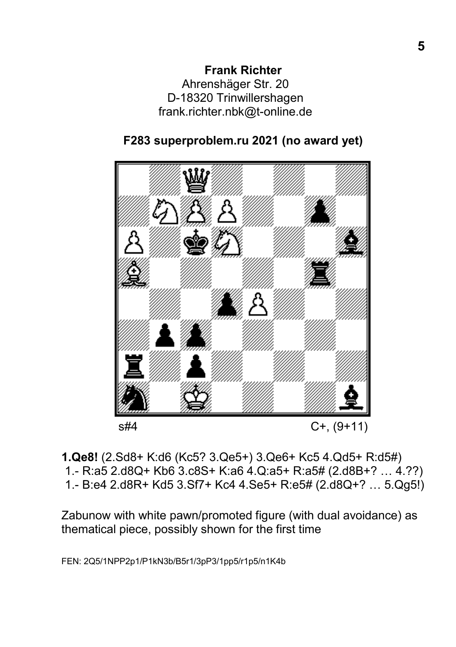



1.Qe8! (2.Sd8+ K:d6 (Kc5? 3.Qe5+) 3.Qe6+ Kc5 4.Qd5+ R:d5#) 1.- R:a5 2.d8Q+ Kb6 3.c8S+ K:a6 4.Q:a5+ R:a5# (2.d8B+? … 4.??) 1.- B:e4 2.d8R+ Kd5 3.Sf7+ Kc4 4.Se5+ R:e5# (2.d8Q+? … 5.Qg5!)

Zabunow with white pawn/promoted figure (with dual avoidance) as thematical piece, possibly shown for the first time

FEN: 2Q5/1NPP2p1/P1kN3b/B5r1/3pP3/1pp5/r1p5/n1K4b